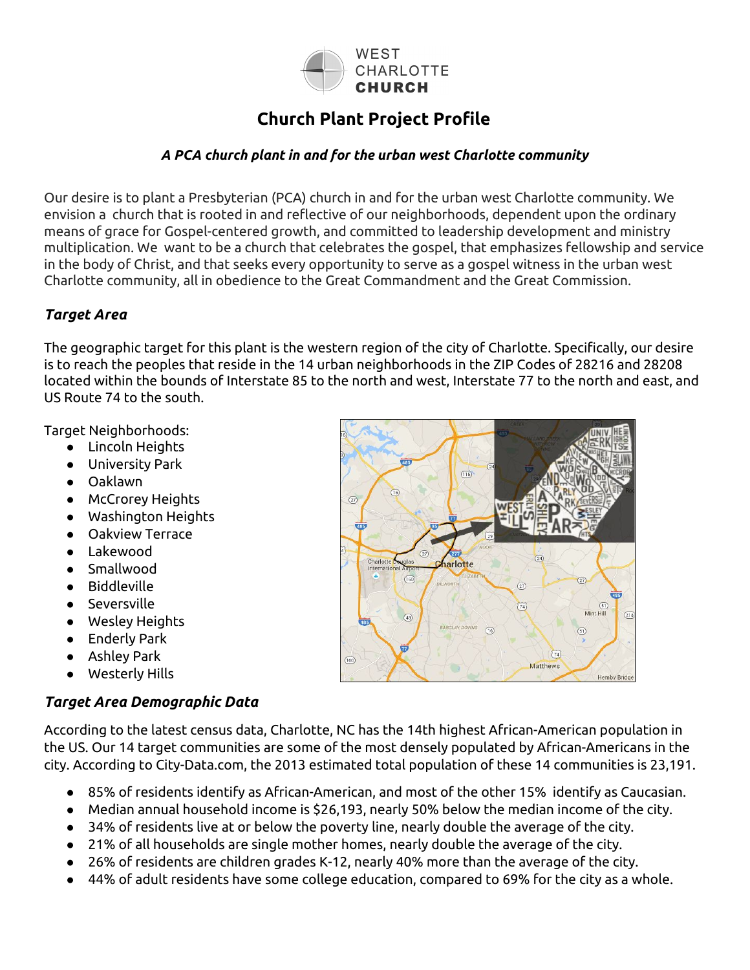

# **Church Plant Project Profile**

#### *A PCA church plant in and for the urban west Charlotte community*

Our desire is to plant a Presbyterian (PCA) church in and for the urban west Charlotte community. We envision a church that is rooted in and reflective of our neighborhoods, dependent upon the ordinary means of grace for Gospel-centered growth, and committed to leadership development and ministry multiplication. We want to be a church that celebrates the gospel, that emphasizes fellowship and service in the body of Christ, and that seeks every opportunity to serve as a gospel witness in the urban west Charlotte community, all in obedience to the Great Commandment and the Great Commission.

#### *Target Area*

The geographic target for this plant is the western region of the city of Charlotte. Specifically, our desire is to reach the peoples that reside in the 14 urban neighborhoods in the ZIP Codes of 28216 and 28208 located within the bounds of Interstate 85 to the north and west, Interstate 77 to the north and east, and US Route 74 to the south.

Target Neighborhoods:

- Lincoln Heights
- University Park
- Oaklawn
- McCrorey Heights
- Washington Heights
- **Oakview Terrace**
- **Lakewood**
- **Smallwood**
- **Biddleville**
- **Seversville**
- Wesley Heights
- **Enderly Park**
- Ashley Park
- Westerly Hills

#### *Target Area Demographic Data*

According to the latest census data, Charlotte, NC has the 14th highest African-American population in the US. Our 14 target communities are some of the most densely populated by African-Americans in the city. According to City-Data.com, the 2013 estimated total population of these 14 communities is 23,191.

- 85% of residents identify as African-American, and most of the other 15% identify as Caucasian.
- Median annual household income is \$26,193, nearly 50% below the median income of the city.
- 34% of residents live at or below the poverty line, nearly double the average of the city.
- 21% of all households are single mother homes, nearly double the average of the city.
- $26\%$  of residents are children grades K-12, nearly 40% more than the average of the city.
- 44% of adult residents have some college education, compared to 69% for the city as a whole.

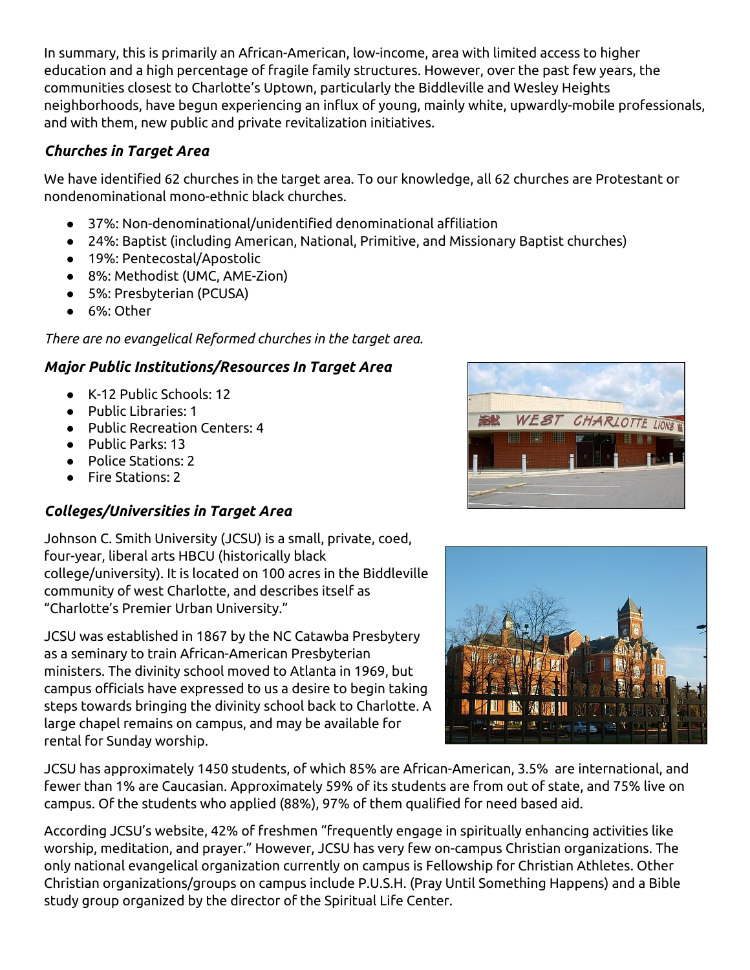In summary, this is primarily an African-American, low-income, area with limited access to higher education and a high percentage of fragile family structures. However, over the past few years, the communities closest to Charlotte's Uptown, particularly the Biddleville and Wesley Heights neighborhoods, have begun experiencing an influx of young, mainly white, upwardly-mobile professionals, and with them, new public and private revitalization initiatives.

#### *Churches in Target Area*

We have identified 62 churches in the target area. To our knowledge, all 62 churches are Protestant or nondenominational mono-ethnic black churches.

- 37%: Non-denominational/unidentified denominational affiliation
- 24%: Baptist (including American, National, Primitive, and Missionary Baptist churches)
- 19%: Pentecostal/Apostolic
- 8%: Methodist (UMC, AME-Zion)
- 5%: Presbyterian (PCUSA)
- 6%: Other

*There are no evangelical Reformed churches in the target area.*

## *Major Public Institutions/Resources In Target Area*

- K-12 Public Schools: 12
- Public Libraries: 1
- Public Recreation Centers: 4
- Public Parks: 13
- Police Stations: 2
- Fire Stations: 2

## *Colleges/Universities in Target Area*

Johnson C. Smith University (JCSU) is a small, private, coed, four-year, liberal arts HBCU (historically black college/university). It is located on 100 acres in the Biddleville community of west Charlotte, and describes itself as "Charlotte's Premier Urban University."

JCSU was established in 1867 by the NC Catawba Presbytery as a seminary to train African-American Presbyterian ministers. The divinity school moved to Atlanta in 1969, but campus officials have expressed to us a desire to begin taking steps towards bringing the divinity school back to Charlotte. A large chapel remains on campus, and may be available for rental for Sunday worship.





JCSU has approximately 1450 students, of which 85% are African-American, 3.5% are international, and fewer than 1% are Caucasian. Approximately 59% of its students are from out of state, and 75% live on campus. Of the students who applied (88%), 97% of them qualified for need based aid.

According JCSU's website, 42% of freshmen "frequently engage in spiritually enhancing activities like worship, meditation, and prayer." However, JCSU has very few on-campus Christian organizations. The only national evangelical organization currently on campus is Fellowship for Christian Athletes. Other Christian organizations/groups on campus include P.U.S.H. (Pray Until Something Happens) and a Bible study group organized by the director of the Spiritual Life Center.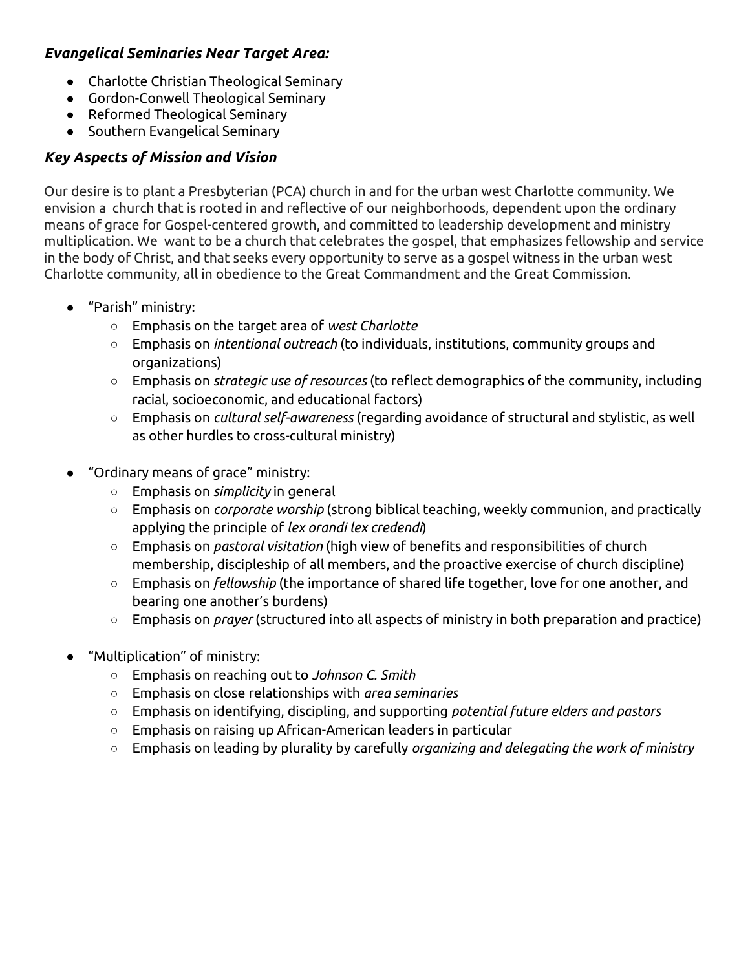#### *Evangelical Seminaries Near Target Area:*

- Charlotte Christian Theological Seminary
- Gordon-Conwell Theological Seminary
- Reformed Theological Seminary
- Southern Evangelical Seminary

## *Key Aspects of Mission and Vision*

Our desire is to plant a Presbyterian (PCA) church in and for the urban west Charlotte community. We envision a church that is rooted in and reflective of our neighborhoods, dependent upon the ordinary means of grace for Gospel-centered growth, and committed to leadership development and ministry multiplication. We want to be a church that celebrates the gospel, that emphasizes fellowship and service in the body of Christ, and that seeks every opportunity to serve as a gospel witness in the urban west Charlotte community, all in obedience to the Great Commandment and the Great Commission.

- "Parish" ministry:
	- Emphasis on the target area of *west Charlotte*
	- Emphasis on *intentional outreach* (to individuals, institutions, community groups and organizations)
	- Emphasis on *strategic use of resources* (to reflect demographics of the community, including racial, socioeconomic, and educational factors)
	- Emphasis on *cultural self-awareness* (regarding avoidance of structural and stylistic, as well as other hurdles to cross-cultural ministry)
- "Ordinary means of grace" ministry:
	- Emphasis on *simplicity* in general
	- Emphasis on *corporate worship* (strong biblical teaching, weekly communion, and practically applying the principle of *lex orandi lex credendi*)
	- Emphasis on *pastoral visitation* (high view of benefits and responsibilities of church membership, discipleship of all members, and the proactive exercise of church discipline)
	- Emphasis on *fellowship* (the importance of shared life together, love for one another, and bearing one another's burdens)
	- Emphasis on *prayer* (structured into all aspects of ministry in both preparation and practice)
- "Multiplication" of ministry:
	- Emphasis on reaching out to *Johnson C. Smith*
	- *○* Emphasis on close relationships with *area seminaries*
	- Emphasis on identifying, discipling, and supporting *potential future elders and pastors*
	- Emphasis on raising up African-American leaders in particular
	- Emphasis on leading by plurality by carefully *organizing and delegating the work of ministry*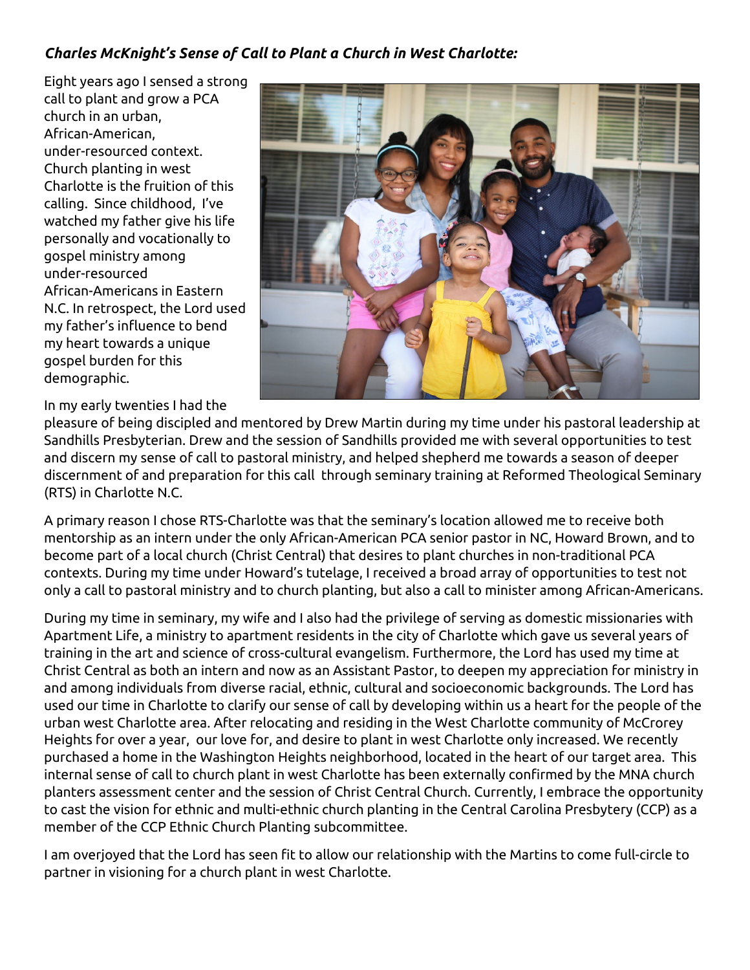## *Charles McKnight's Sense of Call to Plant a Church in West Charlotte:*

Eight years ago I sensed a strong call to plant and grow a PCA church in an urban, African-American, under-resourced context. Church planting in west Charlotte is the fruition of this calling. Since childhood, I've watched my father give his life personally and vocationally to gospel ministry among under-resourced African-Americans in Eastern N.C. In retrospect, the Lord used my father's influence to bend my heart towards a unique gospel burden for this demographic.



In my early twenties I had the

pleasure of being discipled and mentored by Drew Martin during my time under his pastoral leadership at Sandhills Presbyterian. Drew and the session of Sandhills provided me with several opportunities to test and discern my sense of call to pastoral ministry, and helped shepherd me towards a season of deeper discernment of and preparation for this call through seminary training at Reformed Theological Seminary (RTS) in Charlotte N.C.

A primary reason I chose RTS-Charlotte was that the seminary's location allowed me to receive both mentorship as an intern under the only African-American PCA senior pastor in NC, Howard Brown, and to become part of a local church (Christ Central) that desires to plant churches in non-traditional PCA contexts. During my time under Howard's tutelage, I received a broad array of opportunities to test not only a call to pastoral ministry and to church planting, but also a call to minister among African-Americans.

During my time in seminary, my wife and I also had the privilege of serving as domestic missionaries with Apartment Life, a ministry to apartment residents in the city of Charlotte which gave us several years of training in the art and science of cross-cultural evangelism. Furthermore, the Lord has used my time at Christ Central as both an intern and now as an Assistant Pastor, to deepen my appreciation for ministry in and among individuals from diverse racial, ethnic, cultural and socioeconomic backgrounds. The Lord has used our time in Charlotte to clarify our sense of call by developing within us a heart for the people of the urban west Charlotte area. After relocating and residing in the West Charlotte community of McCrorey Heights for over a year, our love for, and desire to plant in west Charlotte only increased. We recently purchased a home in the Washington Heights neighborhood, located in the heart of our target area. This internal sense of call to church plant in west Charlotte has been externally confirmed by the MNA church planters assessment center and the session of Christ Central Church. Currently, I embrace the opportunity to cast the vision for ethnic and multi-ethnic church planting in the Central Carolina Presbytery (CCP) as a member of the CCP Ethnic Church Planting subcommittee.

I am overjoyed that the Lord has seen fit to allow our relationship with the Martins to come full-circle to partner in visioning for a church plant in west Charlotte.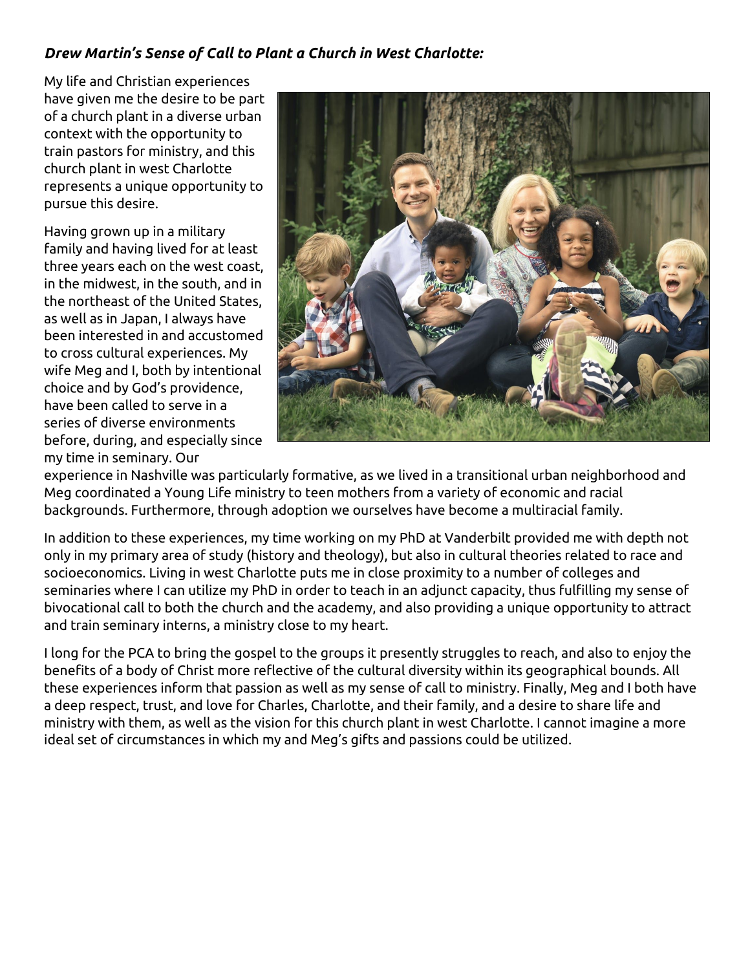## *Drew Martin's Sense of Call to Plant a Church in West Charlotte:*

My life and Christian experiences have given me the desire to be part of a church plant in a diverse urban context with the opportunity to train pastors for ministry, and this church plant in west Charlotte represents a unique opportunity to pursue this desire.

Having grown up in a military family and having lived for at least three years each on the west coast, in the midwest, in the south, and in the northeast of the United States, as well as in Japan, I always have been interested in and accustomed to cross cultural experiences. My wife Meg and I, both by intentional choice and by God's providence, have been called to serve in a series of diverse environments before, during, and especially since my time in seminary. Our



experience in Nashville was particularly formative, as we lived in a transitional urban neighborhood and Meg coordinated a Young Life ministry to teen mothers from a variety of economic and racial backgrounds. Furthermore, through adoption we ourselves have become a multiracial family.

In addition to these experiences, my time working on my PhD at Vanderbilt provided me with depth not only in my primary area of study (history and theology), but also in cultural theories related to race and socioeconomics. Living in west Charlotte puts me in close proximity to a number of colleges and seminaries where I can utilize my PhD in order to teach in an adjunct capacity, thus fulfilling my sense of bivocational call to both the church and the academy, and also providing a unique opportunity to attract and train seminary interns, a ministry close to my heart.

I long for the PCA to bring the gospel to the groups it presently struggles to reach, and also to enjoy the benefits of a body of Christ more reflective of the cultural diversity within its geographical bounds. All these experiences inform that passion as well as my sense of call to ministry. Finally, Meg and I both have a deep respect, trust, and love for Charles, Charlotte, and their family, and a desire to share life and ministry with them, as well as the vision for this church plant in west Charlotte. I cannot imagine a more ideal set of circumstances in which my and Meg's gifts and passions could be utilized.